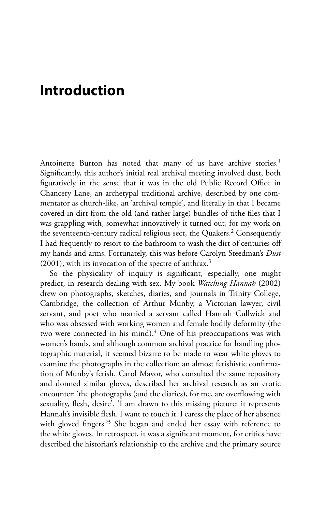## **Introduction**

Antoinette Burton has noted that many of us have archive stories.<sup>1</sup> Significantly, this author's initial real archival meeting involved dust, both figuratively in the sense that it was in the old Public Record Office in Chancery Lane, an archetypal traditional archive, described by one commentator as church-like, an 'archival temple', and literally in that I became covered in dirt from the old (and rather large) bundles of tithe files that I was grappling with, somewhat innovatively it turned out, for my work on the seventeenth-century radical religious sect, the Quakers.<sup>2</sup> Consequently I had frequently to resort to the bathroom to wash the dirt of centuries off my hands and arms. Fortunately, this was before Carolyn Steedman's *Dust*   $(2001)$ , with its invocation of the spectre of anthrax.<sup>3</sup>

So the physicality of inquiry is significant, especially, one might predict, in research dealing with sex. My book *Watching Hannah* (2002) drew on photographs, sketches, diaries, and journals in Trinity College, Cambridge, the collection of Arthur Munby, a Victorian lawyer, civil servant, and poet who married a servant called Hannah Cullwick and who was obsessed with working women and female bodily deformity (the two were connected in his mind).<sup>4</sup> One of his preoccupations was with women's hands, and although common archival practice for handling photographic material, it seemed bizarre to be made to wear white gloves to examine the photographs in the collection: an almost fetishistic confirmation of Munby's fetish. Carol Mavor, who consulted the same repository and donned similar gloves, described her archival research as an erotic encounter: 'the photographs (and the diaries), for me, are overflowing with sexuality, flesh, desire'. 'I am drawn to this missing picture: it represents Hannah's invisible flesh. I want to touch it. I caress the place of her absence with gloved fingers.'5 She began and ended her essay with reference to the white gloves. In retrospect, it was a significant moment, for critics have described the historian's relationship to the archive and the primary source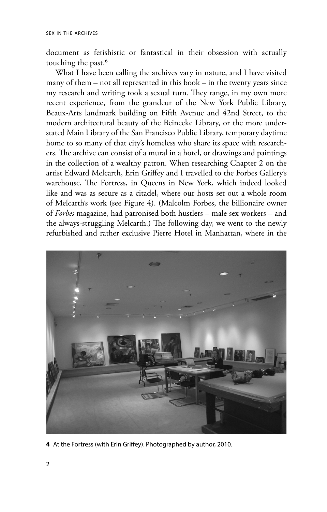document as fetishistic or fantastical in their obsession with actually touching the past.<sup>6</sup>

What I have been calling the archives vary in nature, and I have visited many of them – not all represented in this book – in the twenty years since my research and writing took a sexual turn. They range, in my own more recent experience, from the grandeur of the New York Public Library, Beaux-Arts landmark building on Fifth Avenue and 42nd Street, to the modern architectural beauty of the Beinecke Library, or the more understated Main Library of the San Francisco Public Library, temporary daytime home to so many of that city's homeless who share its space with researchers. The archive can consist of a mural in a hotel, or drawings and paintings in the collection of a wealthy patron. When researching Chapter 2 on the artist Edward Melcarth, Erin Griffey and I travelled to the Forbes Gallery's warehouse, The Fortress, in Queens in New York, which indeed looked like and was as secure as a citadel, where our hosts set out a whole room of Melcarth's work (see Figure 4). (Malcolm Forbes, the billionaire owner of *Forbes* magazine, had patronised both hustlers – male sex workers – and the always-struggling Melcarth.) The following day, we went to the newly refurbished and rather exclusive Pierre Hotel in Manhattan, where in the



**4** At the Fortress (with Erin Griffey). Photographed by author, 2010.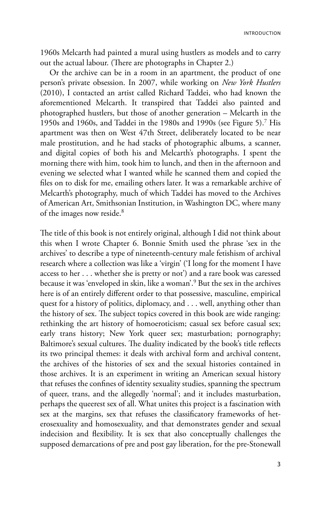introduction

1960s Melcarth had painted a mural using hustlers as models and to carry out the actual labour. (There are photographs in Chapter 2.)

Or the archive can be in a room in an apartment, the product of one person's private obsession. In 2007, while working on *New York Hustlers*  (2010), I contacted an artist called Richard Taddei, who had known the aforementioned Melcarth. It transpired that Taddei also painted and photographed hustlers, but those of another generation – Melcarth in the 1950s and 1960s, and Taddei in the 1980s and 1990s (see Figure 5).7 His apartment was then on West 47th Street, deliberately located to be near male prostitution, and he had stacks of photographic albums, a scanner, and digital copies of both his and Melcarth's photographs. I spent the morning there with him, took him to lunch, and then in the afternoon and evening we selected what I wanted while he scanned them and copied the files on to disk for me, emailing others later. It was a remarkable archive of Melcarth's photography, much of which Taddei has moved to the Archives of American Art, Smithsonian Institution, in Washington DC, where many of the images now reside.<sup>8</sup>

The title of this book is not entirely original, although I did not think about this when I wrote Chapter 6. Bonnie Smith used the phrase 'sex in the archives' to describe a type of nineteenth-century male fetishism of archival research where a collection was like a 'virgin' ('I long for the moment I have access to her . . . whether she is pretty or not') and a rare book was caressed because it was 'enveloped in skin, like a woman'.9 But the sex in the archives here is of an entirely different order to that possessive, masculine, empirical quest for a history of politics, diplomacy, and . . . well, anything other than the history of sex. The subject topics covered in this book are wide ranging: rethinking the art history of homoeroticism; casual sex before casual sex; early trans history; New York queer sex; masturbation; pornography; Baltimore's sexual cultures. The duality indicated by the book's title reflects its two principal themes: it deals with archival form and archival content, the archives of the histories of sex and the sexual histories contained in those archives. It is an experiment in writing an American sexual history that refuses the confines of identity sexuality studies, spanning the spectrum of queer, trans, and the allegedly 'normal'; and it includes masturbation, perhaps the queerest sex of all. What unites this project is a fascination with sex at the margins, sex that refuses the classificatory frameworks of heterosexuality and homosexuality, and that demonstrates gender and sexual indecision and flexibility. It is sex that also conceptually challenges the supposed demarcations of pre and post gay liberation, for the pre-Stonewall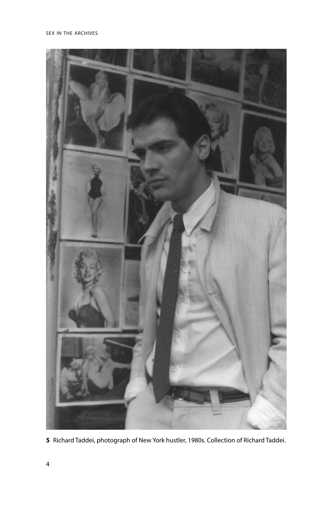

Richard Taddei, photograph of New York hustler, 1980s. Collection of Richard Taddei.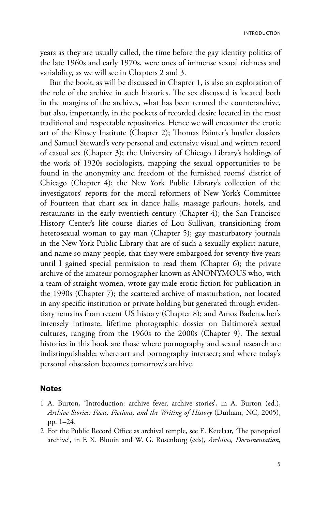introduction

years as they are usually called, the time before the gay identity politics of the late 1960s and early 1970s, were ones of immense sexual richness and variability, as we will see in Chapters 2 and 3.

But the book, as will be discussed in Chapter 1, is also an exploration of the role of the archive in such histories. The sex discussed is located both in the margins of the archives, what has been termed the counterarchive, but also, importantly, in the pockets of recorded desire located in the most traditional and respectable repositories. Hence we will encounter the erotic art of the Kinsey Institute (Chapter 2); Thomas Painter's hustler dossiers and Samuel Steward's very personal and extensive visual and written record of casual sex (Chapter 3); the University of Chicago Library's holdings of the work of 1920s sociologists, mapping the sexual opportunities to be found in the anonymity and freedom of the furnished rooms' district of Chicago (Chapter 4); the New York Public Library's collection of the investigators' reports for the moral reformers of New York's Committee of Fourteen that chart sex in dance halls, massage parlours, hotels, and restaurants in the early twentieth century (Chapter 4); the San Francisco History Center's life course diaries of Lou Sullivan, transitioning from heterosexual woman to gay man (Chapter 5); gay masturbatory journals in the New York Public Library that are of such a sexually explicit nature, and name so many people, that they were embargoed for seventy-five years until I gained special permission to read them (Chapter 6); the private archive of the amateur pornographer known as ANONYMOUS who, with a team of straight women, wrote gay male erotic fiction for publication in the 1990s (Chapter 7); the scattered archive of masturbation, not located in any specific institution or private holding but generated through evidentiary remains from recent US history (Chapter 8); and Amos Badertscher's intensely intimate, lifetime photographic dossier on Baltimore's sexual cultures, ranging from the 1960s to the 2000s (Chapter 9). The sexual histories in this book are those where pornography and sexual research are indistinguishable; where art and pornography intersect; and where today's personal obsession becomes tomorrow's archive.

## **Notes**

- 1 A. Burton, 'Introduction: archive fever, archive stories', in A. Burton (ed.), *Archive Stories: Facts, Fictions, and the Writing of History* (Durham, NC, 2005), pp. 1–24.
- 2 For the Public Record Office as archival temple, see E. Ketelaar, 'The panoptical archive', in F. X. Blouin and W. G. Rosenburg (eds), *Archives, Documentation,*